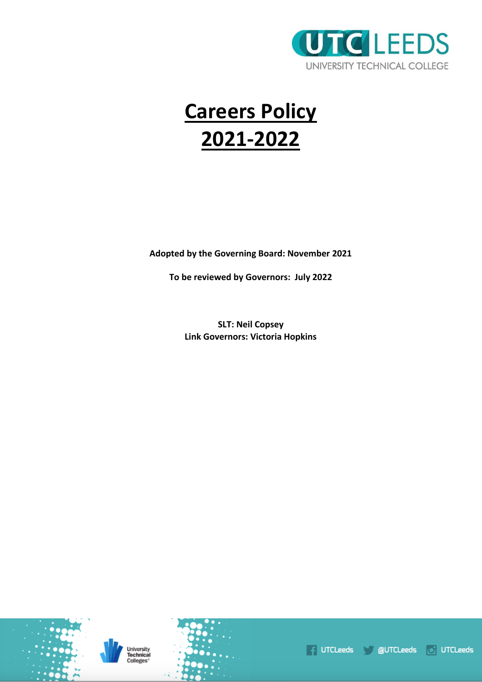

# **Careers Policy 2021-2022**

**Adopted by the Governing Board: November 2021**

**To be reviewed by Governors: July 2022**

**SLT: Neil Copsey Link Governors: Victoria Hopkins**



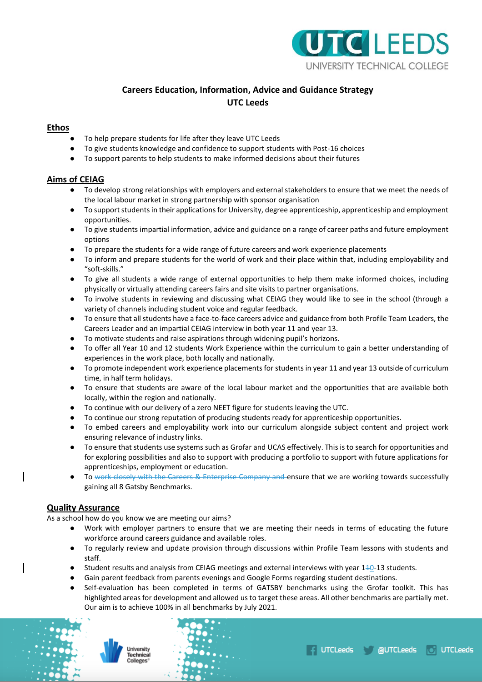

# **Careers Education, Information, Advice and Guidance Strategy UTC Leeds**

# **Ethos**

- To help prepare students for life after they leave UTC Leeds
- To give students knowledge and confidence to support students with Post-16 choices
- To support parents to help students to make informed decisions about their futures

# **Aims of CEIAG**

- To develop strong relationships with employers and external stakeholders to ensure that we meet the needs of the local labour market in strong partnership with sponsor organisation
- To support students in their applications for University, degree apprenticeship, apprenticeship and employment opportunities.
- To give students impartial information, advice and guidance on a range of career paths and future employment options
- To prepare the students for a wide range of future careers and work experience placements
- To inform and prepare students for the world of work and their place within that, including employability and "soft-skills."
- To give all students a wide range of external opportunities to help them make informed choices, including physically or virtually attending careers fairs and site visits to partner organisations.
- To involve students in reviewing and discussing what CEIAG they would like to see in the school (through a variety of channels including student voice and regular feedback.
- To ensure that all students have a face-to-face careers advice and guidance from both Profile Team Leaders, the Careers Leader and an impartial CEIAG interview in both year 11 and year 13.
- To motivate students and raise aspirations through widening pupil's horizons.
- To offer all Year 10 and 12 students Work Experience within the curriculum to gain a better understanding of experiences in the work place, both locally and nationally.
- To promote independent work experience placements for students in year 11 and year 13 outside of curriculum time, in half term holidays.
- To ensure that students are aware of the local labour market and the opportunities that are available both locally, within the region and nationally.
- To continue with our delivery of a zero NEET figure for students leaving the UTC.
- To continue our strong reputation of producing students ready for apprenticeship opportunities.
- To embed careers and employability work into our curriculum alongside subject content and project work ensuring relevance of industry links.
- To ensure that students use systems such as Grofar and UCAS effectively. This is to search for opportunities and for exploring possibilities and also to support with producing a portfolio to support with future applications for apprenticeships, employment or education.
- To work closely with the Careers & Enterprise Company and ensure that we are working towards successfully gaining all 8 Gatsby Benchmarks.

# **Quality Assurance**

As a school how do you know we are meeting our aims?

- Work with employer partners to ensure that we are meeting their needs in terms of educating the future workforce around careers guidance and available roles.
- To regularly review and update provision through discussions within Profile Team lessons with students and staff.
- Student results and analysis from CEIAG meetings and external interviews with year 140-13 students.
- Gain parent feedback from parents evenings and Google Forms regarding student destinations.
- Self-evaluation has been completed in terms of GATSBY benchmarks using the Grofar toolkit. This has highlighted areas for development and allowed us to target these areas. All other benchmarks are partially met. Our aim is to achieve 100% in all benchmarks by July 2021.



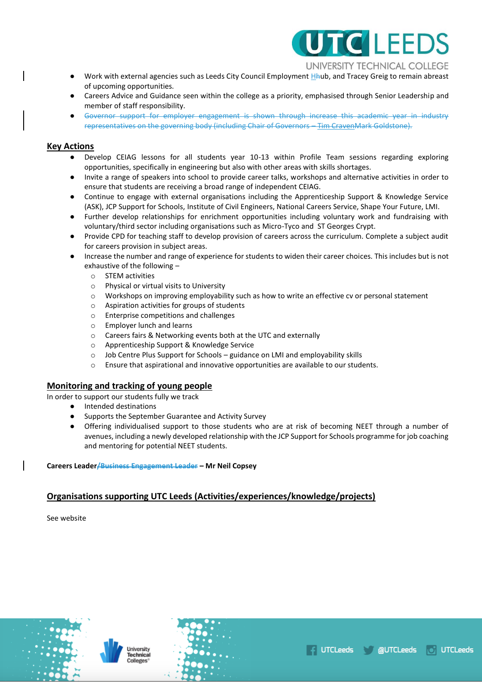

UNIVERSITY TECHNICAL COLLEGE

UTCLeeds **dela**UTCLeeds

**O** UTCLeeds

- Work with external agencies such as Leeds City Council Employment Hhub, and Tracey Greig to remain abreast of upcoming opportunities.
- Careers Advice and Guidance seen within the college as a priority, emphasised through Senior Leadership and member of staff responsibility.
- Governor support for employer engagement is shown through increase this academic year in industry representatives on the governing body (including Chair of Governors – Tim CravenMark Goldstone).

## **Key Actions**

- Develop CEIAG lessons for all students year 10-13 within Profile Team sessions regarding exploring opportunities, specifically in engineering but also with other areas with skills shortages.
- Invite a range of speakers into school to provide career talks, workshops and alternative activities in order to ensure that students are receiving a broad range of independent CEIAG.
- Continue to engage with external organisations including the Apprenticeship Support & Knowledge Service (ASK), JCP Support for Schools, Institute of Civil Engineers, National Careers Service, Shape Your Future, LMI.
- Further develop relationships for enrichment opportunities including voluntary work and fundraising with voluntary/third sector including organisations such as Micro-Tyco and ST Georges Crypt.
- Provide CPD for teaching staff to develop provision of careers across the curriculum. Complete a subject audit for careers provision in subject areas.
- Increase the number and range of experience for students to widen their career choices. This includes but is not exhaustive of the following –
	- o STEM activities
	- o Physical or virtual visits to University
	- o Workshops on improving employability such as how to write an effective cv or personal statement
	- o Aspiration activities for groups of students
	- o Enterprise competitions and challenges
	- o Employer lunch and learns
	- o Careers fairs & Networking events both at the UTC and externally
	- o Apprenticeship Support & Knowledge Service
	- o Job Centre Plus Support for Schools guidance on LMI and employability skills
	- o Ensure that aspirational and innovative opportunities are available to our students.

## **Monitoring and tracking of young people**

In order to support our students fully we track

- Intended destinations
- Supports the September Guarantee and Activity Survey
- Offering individualised support to those students who are at risk of becoming NEET through a number of avenues, including a newly developed relationship with the JCP Support for Schools programme for job coaching and mentoring for potential NEET students.

**Careers Leader/Business Engagement Leader – Mr Neil Copsey**

# **Organisations supporting UTC Leeds (Activities/experiences/knowledge/projects)**

See website